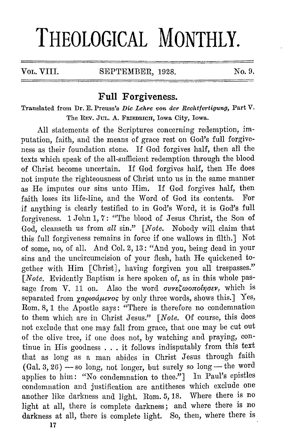# **THEOLOGICAL MONTHLY.**

#### VOL. VIII. SEPTEMBER, 1928. No. 9.

# **Full Forgiveness.**

Translated from Dr. E. Preuss's *Die Lehre von der Reehtfertigung,* Part V. The REV. JUL. A. FRIEDRICH, Iowa City, Iowa.

All statements of the Scriptures concerning redemption, imputation, faith, and the means of grace rest on God's full forgiveness as their foundation stone. If God forgives half, then all the texts which speak of the all-sufficient redemption through the blood of Christ become uncertain. If God forgives half, then He does not impute the righteousness of Christ unto us in the same manner as He imputes our sins unto Him. If God forgives half, then faith loses its life-line, and the Word of God its contents. For if anything is clearly testified to in God's Word, it is God's full forgiveness. 1 John 1, 7: "'l'he blood of Jesus Christ, the Son of God, cleanseth us from all sin." *[Note.* Nobody will claim that this full forgiveness remains in force if one wallows in filth.] Not of some, no, of all. And Col. 2, 13: "And you, being dead in your sins and the uncircumcision of your flesh, hath He quickened together with Him [Christ], having forgiven you all trespasses." *[Note.* Evidently Baptism is here spoken of, as in this whole passage from V. 11 on. Also the word *oureCwonolnoer*, which is separated from *xapioáµevos* by only three words, shows this.] Yes, Rom. 8, 1 the Apostle says: "There is therefore no condemnation to them which are in Christ Jesus." *[Note.* Of course, this docs not exclude that one may fall from grace, that one may be cut out of the olive tree, if one does not, by watching and praying, continue in His goodness ... it follows indisputably from this text that as long as a man abides in Christ Jesus through faith  $(Gal. 3, 26)$  -- so long, not longer, but surely so long -- the word applies to him: "No condemnation to thee."] In Paul's epistles condemnation and justification are antitheses which exclude one another like darkness and light. Rom. 5, 18. Where there is no light at all, there is complete darkness; and where there is no darkness at all, there is complete light. So, then, where there is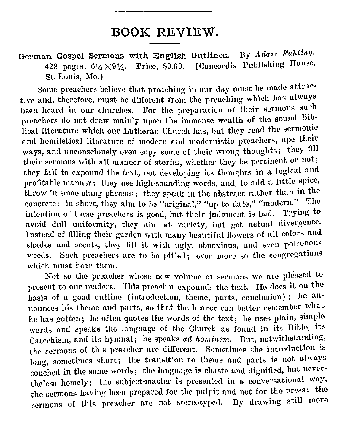# **BOOK REVIEW.**

German Gospel Sermons with English Outlines. By *Adam Fahling.*  428 pages,  $6\frac{1}{4} \times 9\frac{1}{4}$ . Price, \$3.00. (Concordia Publishing House, St. Louis, Mo.)

Some preachers believe that preaching in our day must be made attractive and, therefore, must be different from the preaching which has always been heard in our churches. For the preparation of their sermons such preachers do not draw mainly upon the immense wealth of the sound Biblical literature which our Lutheran Church has, but they read the sermonic and homiletical literature of modern and modernistic preachers, ape their ways, aml unconsciously even copy some of their wrong thoughts; they fill their sermons with all manner of stories, whether they be pertinent or not; they fail to expound the text, not developing its thoughts in a logical and profitable manner; they use high-sounding words, and, to add a little spice, throw in some slang phrases; they speak in the abstract rather than in the concrete: in short, they aim to be "original," "up to date," "modern." The intention of these preachers is good, but their judgment is bad. Trying to avoid dull uniformity, they aim at variety, but get actual divergence. Instead of filling their garden with many beautiful flowers of all colors and shades and scents, they fill it with ugly, obnoxious, and even poisonous weeds. Such preachers are to be pitied; even more so the congregations which must hear them.

Not so the preacher whose new volume of sermons we are pleased to present to our readers. This preacher expounds the text. He does it on the basis of a good outline (introduction, theme, parts, conclusion) ; he announces his theme and parts, so that the hearer can better remember what he has gotten; he often quotes the words of the text; he uses plain, simple words and speaks the language of the Church as found in its Bible, its Catechism, and its hymnal; he speaks *ad hominem.* But, notwithstanding, the sermons of this preacher are different. Sometimes the introduction is long, sometimes short; the transition to theme and parts is not always couched in the same words; the language is chaste and dignified, but nevertheless homely; the subject-matter is presented in a conversational way, the sermons having been prepared for the pulpit and not for the press: the sermons of this preacher are not stereotyped. By drawing still more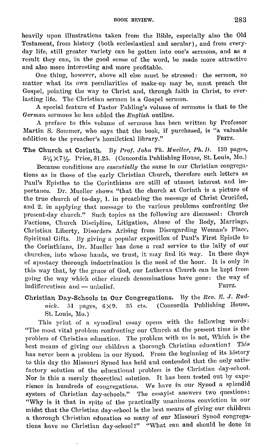heavily upon illustrations taken from the Bible, especially also the Old Testament, from history (both ecclesiastical and secular), and from everyday life, still greater variety can he gotten into one's sermons, and as a result they can, in the good sense of the word, be made more attractive and also more interesting and more profitable.

One thing, however, above all else must be stressed: the sermon, no matter what its own peculiarities of make-up may he, must preach the Gospel, pointing the way to Christ and, through faith in Christ, to everlasting life. The Christian sermon is a Gospel sermon.

A special feature of Pastor Fahling's volume of sermons is that to the *German* sermons he has added the *English* outline.

A preface to this volume of sermons has been written by Professor Martin S. Sommer, who says that the book, if purchased, is "a valuable addition to the preacher's homilatical library." addition to the preacher's homiletical library."

The Church at Corinth. By *Prof. John Th. Mueller, Ph. D.* 139 pages,  $5\frac{1}{4}\times7\frac{1}{2}$ . Price, \$1.25. (Concordia Publishing House, St. Louis, Mo.)

Because conditions are *essentially* the same in our Christian congregations as in those of the early Christian Church, therefore such letters as Paul's Epistles to the Corinthians are still of utmost interest and importance. Dr. Mueller shows "that the church at Corinth is a picture of the true church of to-day, 1. in preaching the message of Christ Crucified, and 2. in applying that message to the various problems confronting the present-day church." Such topics as the following are discussed: Church Factions, Church Discipline, Litigation, Abuse of the Body, Marriage, Christian Liberty, Disorders Arising from Disregarding Woman's Place, Spiritual Gifts. By giving a popular exposition of Paul's First Epistle to the Corinthians, Dr. Mueller has done a real service to the laity of our churches, into whose hands, we trust, it may find its way. In these days of apostacy thorough indoctrination is the need of the hour. It is only in this way that, hy the grace of God, our Lutheran Church can be kept from going the way which other church denominations have gone: the way of indifferentism and - unbelief.  $\blacksquare$ 

Christian Day-Schools in Our Congregations. By the Rev. E. J. Rudnick. 51 pages,  $6 \times 9$ . 35 cts. ( Concordia Publishing House, St. Louis, Mo.)

This print of a synodical essay opens with the following words: "The most vital problem confronting our Church at the present time is the problem of Christian education. The problem with us is not, Which is the hest means of giving our children a thorough Christian education? has never been a problem in our Synod. From the beginning of its history to this day the Missouri Synod has held and contended that the only satis· factory solution of the educational problem i8 the Christian day-school. Nor is this a merely theoretical solution. It has been tested out hy cxpe· rience in hundreds of congregations. We have in our Synod a splendid system of Christian day-schools." The essayist answers two questions: "Why is it that in spite of the practically unanimous conviction in our midst that the Christian day-school is the best means of giving our children a thorough Christian education so many of our Missouri Synod congregations have no Christian day-school?" "What can and should be done in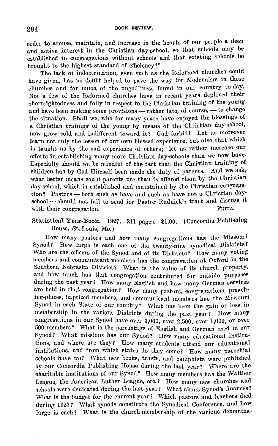order to arouse, maintain, and increase in the hearts of our people a. deep and active interest in the Christian day-school, so that schools may be established in congregations without schools and that existing schools be brought to the highest standard of efficiency?"

The lack of indoctrination, even such as the Reformed churches could have given, has no doubt helped to pave the way for Modernism in those churches and for much of the ungodliness found in our country to-day. Not a few of the Reformed churches have in recent years deplored their shortsightedness and folly in respect to the Christian training of the young and have been making some provisions - rather late, of course, - to change the situation. Shall we, who for many years have enjoyed the blessings of a Christian training of the young by means of the Christian day-school, now grow cold and indifferent toward it? God forbid! Let us moreover learn not only the lesson of our own blessed experience, hut also that which is taught us by the sad experience of others; let us rather increase our efforts in establishing many more Christian day-schools than we now have. Especially should we be mindful of the fact that the Christian training of children has by God Himself been made the duty of parents. And we ask, what better means could parents use than is offered them by the Christian day-school, which is established and maintained by the Christian congregation? Pastors - both such as have and such as have not a Christian day. school --- should not fail to send for Pastor Rudnick's tract and discuss it<br>with their congregation with their congregation.

#### Statistical Year-Dook. 1927. 211 pages. \$1.00. (Concordia Publishing House, St. Louis, Mo.)

How many pastors and how many congregations has the Missouri Synod? How large is each one of the twenty-nine synodical Districts? Who are the officers of the Synod and of its Districts? How many voting members and communicant members has the congregation at Oxford in the Southern Nebraska District? What is the value of its church property, and how much has that congregation contributed for outside purposes during the past year? How many English and how many German services are held in that congregation? How many pastors, congregations, preach· ing-places, baptized members, and communicant members has the Missouri Synod in each State of our country? What has been the gain or loss in membership in the various Districts during the past year? How many congregations in our Synod have over 3,000, over 2,500, over 1,000, or over 500 members? What is the percentage of English and German used in our Synod? What missions has our Synod? How many educational institutions, and where are they? How many students attend our educational institutions, and from which states do they come? How many parochial schools have we? What new books, tracts, and pamphlets were published by our Concordia Publishing House during the last year? Where are the charitable institutions of our Synod'/ How many members has the Walther League, the American Luther League, etc.? How many new churches and schools were dedicated during the last year? What about Synod's finances? What is the budget for the current year? Which pastors and teachers died during 1927? What synods constitute the Synodical Conference, and how large is each? What is the church-membership of the various denomina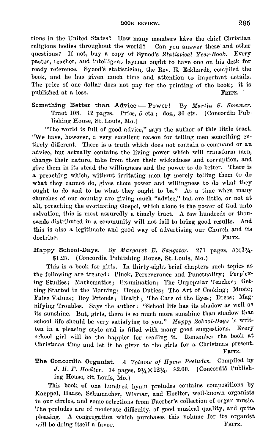tions in the United States? How many members have the chief Christian religious bodies throughout the world? - Can you answer these and other questions? If not, buy a copy of Synod's Statistical Year-Book. Every pastor, teacher, and intelligent layman ought to have one on his desk for ready reference. Synod's statistician, the Rev. E. Eckhardt, compiled the book, and he has given much time aml attention to important details. The price of one dollar does not pay for the printing of the book; it is published at a loss. published at a loss.

Something Better than Advice - Power! Tract 108.—12 pages.—Price, 5 cts.; doz., 36 cts.— (Concordia Publishing House, St. Louis, Mo.) By Martin S. Sommer.

"The world is full of good advice," says the author of this little tract. "We have, however, a very excellent reason for telling men something entirely different. There is a truth which does not contain a command or an advice, but actually contains the living power which will transform men, change their nature, take from them their wickedness and corruption, and give them in its stead the willingness and the power to do better. There is a preaching which, without irritating men by merely telling them to do what they cannot do, gives them power and willingness to do what they ought to do and to be what they ought to be." At a time when many churches of our country are giving much "advice," but are little, or not at all, preaching the everlasting Gospel, which alone is the power of God unto salvation, this is most assuredly a timely tract. A few hundreds or thousands distributed in a community will not fail to bring good results. And this is also a legitimate and good way of advertising our Church and its doctrine. FRITZ,

Happy School-Days. By Margaret *E. Sangster*. 271 pages,  $5 \times 71/4$ . \$1.25. ( Concordia Publishing House, St. Louis, Mo.)

This is a book for girls. In thirty-eight brief chapters such topics as the following are treated: Pluck, Perseverance and Punctuality; Perplexing Studies; Mathematics; Examination; The Unpopular Teacher; Getting Started in the Morning; Home Duties; Tho Art of Cooking; Music; False Values; Boy Friends; Health; The Care of the Eyes; Dress; Magnifying Troubles. Says the author: "School life has its shadow as well as its sunshine. But, girls, there is so much more sunshine than shadow that school life should be very satisfying to you." Happy School-Days is written in a pleasing style and is filled with many good suggestions. Every school girl will be the happier for reading it. Remember the book at Christmas time and let it be given to the girls for a Christmas present. FRITZ,

The Concordia Organist. A Volume of Hymn Preludes. Compiled by J. H. F. Hoelter. 74 pages, 91/<sub>4</sub> × 121/<sub>4</sub>. \$2.00. (Concordia Publishing House, St. Louis, Mo.)

This hook of one hundred hymn preludes contains compositions by Kaeppel, Haase, Schumacher, Wismar, and Hoelter, well-known organists in our circles, and some selections from Faerber's collection of organ music. The preludes are of moderate difficulty, of good musical quality, and quite pleasing. A congregation which purchases this volume for its organist will be doing itself a favor.  $\blacksquare$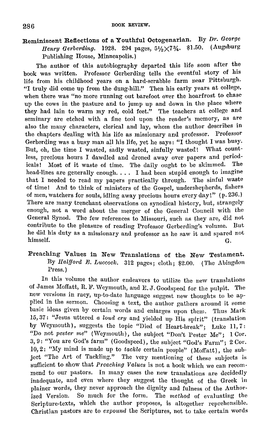## Reminiscent Reflections of a Youthful Octogenarian. By Dr. George *Henry Gerberding.* 1928. 294 pages, 51/2×73/4. \$1.50. (Augsburg Publishing House, Minneapolis.)

The author of this autobiography departed this life soon after the book was written. Professor Gerberding tells the eventful story of his life from his childhood years on a hard-scrabble farm near Pittsburgh. "I truly did come up from the dung-hill." Then his early years at college, when there was "no more running out barefoot over the hoarfrost to chase up the cows in the pasture and to jump up and down in the place where they had lain to warm my red, cold feet." The teachers at college and seminary are etched with a fine tool upon the reader's memory, as are also the many characters, clerical and lay, whom the author describes in the chapters dealing with his life as missionary and professor. Professor Gerberding was a busy man all his life, yet he says: "I thought I was busy. But, oh, the time I wasted, sadly wasted, sinfully wasted! What countless, precious hours I dawdled and droned away over papers and period-<br>jealst. Most of it waste of time. The daily ought to be skimmed. The icals! Most of it waste of time. The daily ought to be skimmed. head-lines are generally enough. . . . I had been stupid enough to imagine that I needed to read my papers practically through. The sinful waste of time! And to think of ministers of the Gospel, undershepherds, fishers of men, watchers for souls, idling away precious hours every day!" (p. 236.) There are many trenchant observations on synodical history, but, strangely enough, not a word about the merger of the General Council with the General Synod. The few references to Missouri, such as they are, did not contribute to the pleasure of reading Professor Gerberding's volume. But he did his duty as a missionary and professor as he saw it and spared not himself. himself. G.

### Preaching Values in New Translations of the New Testament. By *Halfford E. Luccock.* 312 pages; cloth; \$2.00. (The Abingdon Press.)

In this volume the author endeavors to utilize the new translations of James Moffatt, R. F. Weymouth, and E. J. Goodspeed for the pulpit. The new versions in racy, up-to-date language suggest new thoughts to be applied in the sermon. Choosing a text, the author gathers around it some basic ideas given by certain words and enlarges upon them. Thus Mark 15, 37: "Jesus uttered *a loud cry* and yielded up His spirit" (translation by Weymouth), suggests the topic "Died of Heart-break"; Luke 11, 7: "Do not *pester me"* (Weymouth), the subject "Don't Pester Me"; 1 Cor. 3, 9: "You are God's farm" (Goodspeed), the subject "God's Farm"; 2 Cor. 10,2: "My mind is made up to *tackle* certain people" (Moffatt), the sub· ject "The Art of Tackling." The very mentioning of these subjects is suflicient to show that *Preaching Values* is not a book which we can recommend to our pastors. In many cases the new translations are decidedly inadequate, and even where they suggest the thought of the Greek in plainer words, they never approach the dignity and fulness of the Authorized Version. So much for the form. The *method* of evaluating the Scripture-texts, which the author proposes, is altogether reprehensible. Christian pastors are to *emponnd* the Scriptures, not to take certain words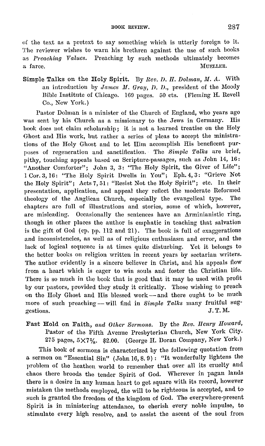of the text as a pretext to say something which is utterly foreign to it. The reviewer wishes to warn his brethren against the use of such books as *!'reaching Values.* Preaching by such methods ultimately becomes a farce. MUELLER.

Simple Talks on the Holy Spirit. Dy *Bev. D. II. Dolman, M. A.* With an introduction by *James M. Gray, D. D.*, president of the Moody Bible Institute of Chicago. 169 pages. 50 cts. (Fleming H. Revell Co., New York.)

Pastor Dolman is a minister of the Church of England, who years ago was sent by his Church as a missionary to the Jews in Germany. His book does not claim scholarship; it is not a learned treatise on the Holy Ghost and His work, hut rather a series of pleas to accept the ministrations of tho Holy Ghost and to let Him accomplish His beneficent purposes of regeneration and sanctification. The *Simple Talks* arc brief, pithy, touching appeals based on Scripture-passages, such as John 14, 16: "Another Comforter"; John 3, 3: "The Holy Spirit, the Giver of Life"; 1 Cor. 3, 16: "Tho Holy Spirit Dwells in You"; Eph. 4, 3: "Grieve Not the Holy Spirit"; Acts 7, 51: "Resist Not the Holy Spirit"; etc. In their presentation, application, and appeal they reflect the moderate Reformed theology of the Anglican Church, especially the evangelical type. The chapters arc full of illustrations and stories, some of which, however, are misleading. Occasionally the sentences have an Arminianistic ring, though in other places the author is emphatic in teaching that salvation is the gift of God (cp. pp. 112 and 21). The book is full of exaggerations and inconsistencies, as well as of religious enthusiasm and error, and the lack of logical sequence is at times quite disturbing. Yet it belongs to the better books on religion written in recent years by sectarian writers. The author evidently is a sincere believer in Christ, and his appeals flow from a heart which is eager to win souls and foster the Christian life. There is so much in the book that is good that it may be used with profit by our pastors, provided they study it critically. Those wishing to preach on the Holy Ghost and His blessed work - and there ought to be much more of such preaching -- will find in *Simple Talks* many fruitful sug $s$  and  $r$  and  $r$  and  $r$  and  $r$  and  $r$  and  $r$  and  $r$  and  $r$  and  $r$  and  $r$  and  $r$  and  $r$  and  $r$  and  $r$  and  $r$  and  $r$  and  $r$  and  $r$  and  $r$  and  $r$  and  $r$  and  $r$  and  $r$  and  $r$  and  $r$  and  $r$  and  $r$  a

Fast Hold on Faith, and Other Sermons. By the Rev. Henry Howard, Pastor of the Fifth Avenue Presbyterian Church, New York City. 275 pages,  $5 \times 7\%$ . \$2.00. (George H. Doran Company, New York.)

This book of sermons is characterized by the following quotation from a sermon on "Essential Sin" (John 16, s. 9) : "It wonderfully lightens the problem of the heathen world to remember that over all its cruelty and chaos there broods the tender Spirit of God. Wherever in pagan lands there is a desire in any human heart to get square with its record, however mistaken the methods employed, the will to be righteous is accepted, and to such is granted the freedom of the kingdom of God. The everywhere-present Spirit is in ministering attendance, to cherish every noble impulse, to stimulate every high resolve, and to assist the ascent of the soul from